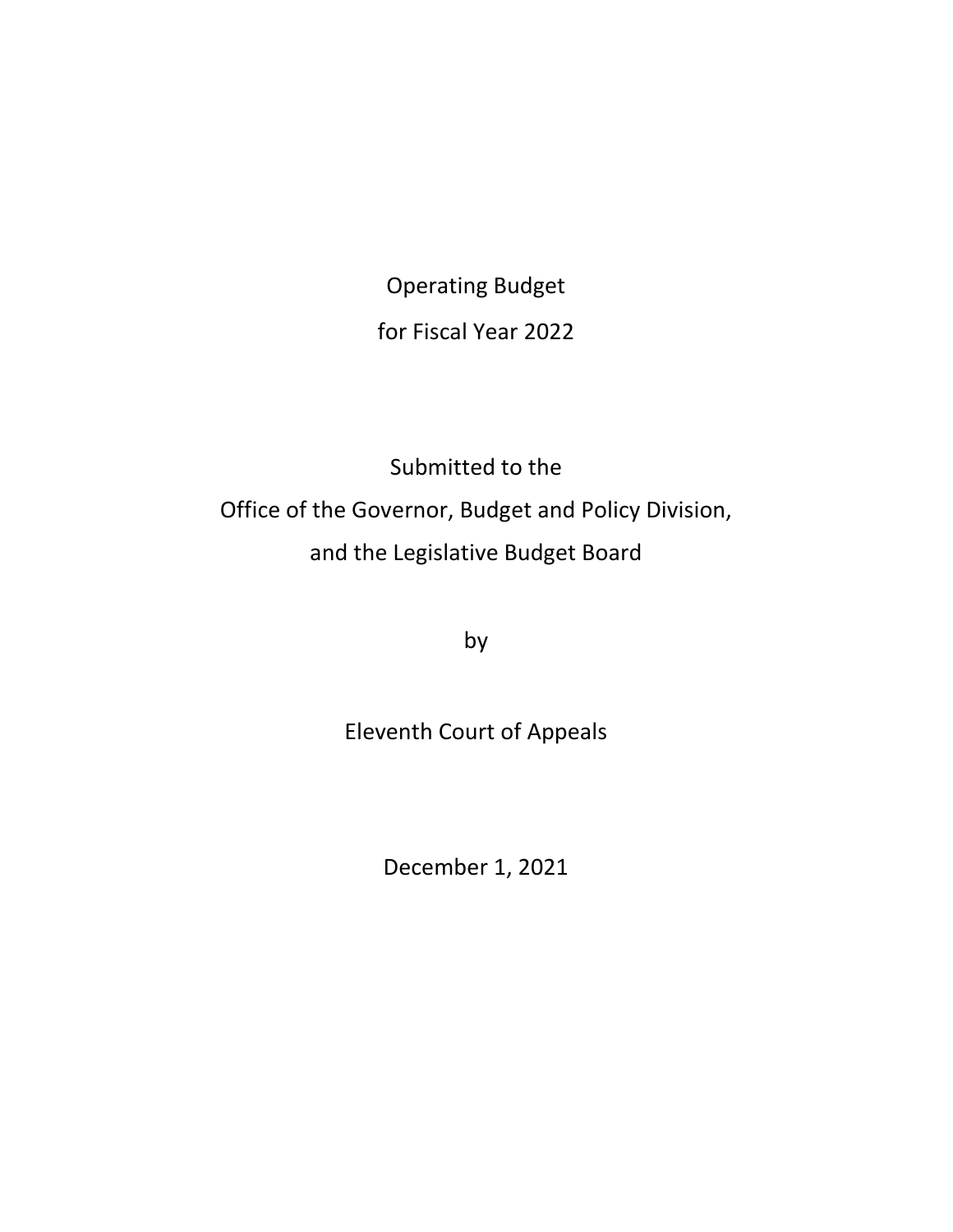Operating Budget for Fiscal Year 2022

Submitted to the Office of the Governor, Budget and Policy Division, and the Legislative Budget Board

by

# Eleventh Court of Appeals

December 1, 2021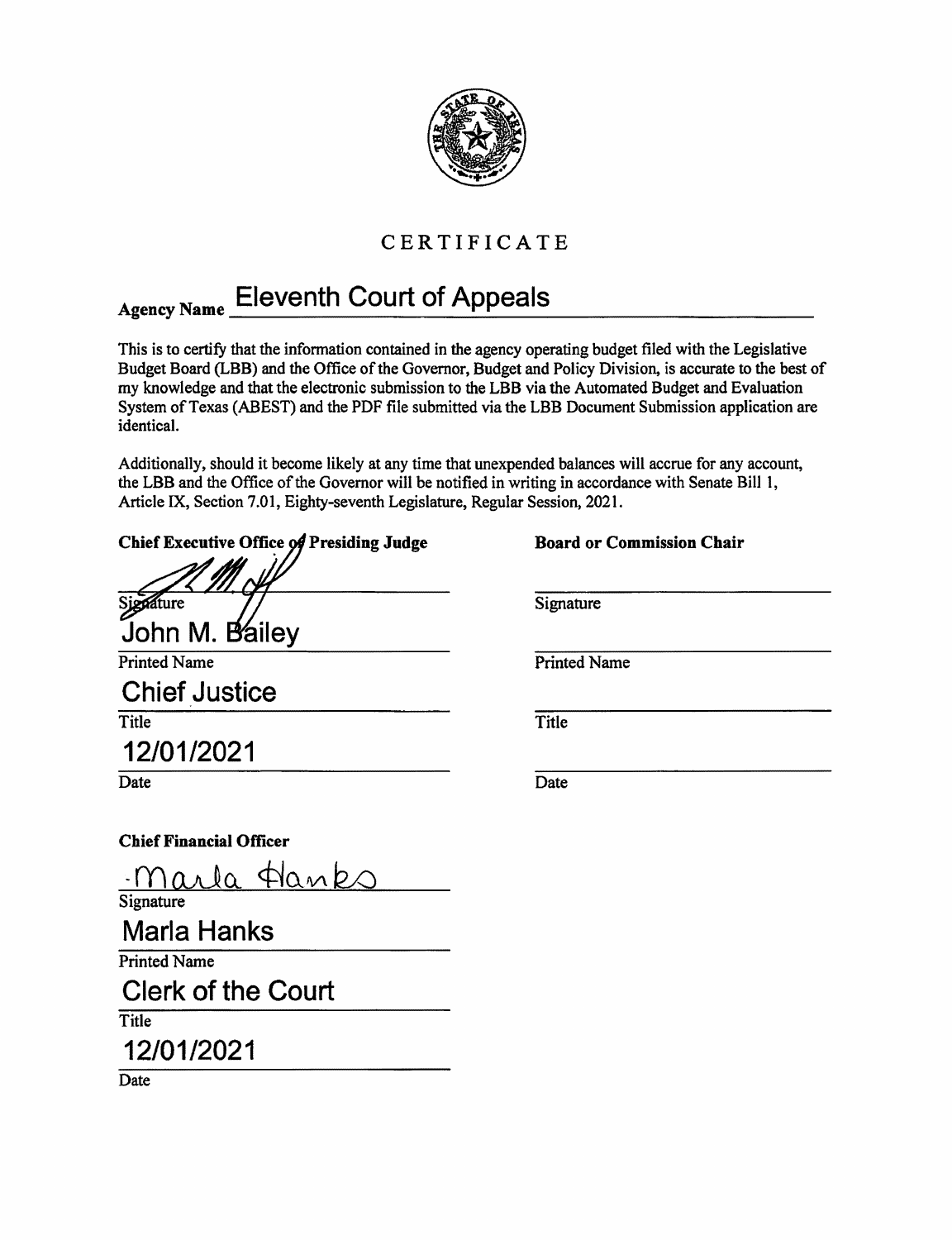

# CERTIFICATE

# Agency Name Eleventh Court of Appeals

This is to certify that the information contained in the agency operating budget filed with the Legislative Budget Board (LBB) and the Office of the Governor, Budget and Policy Division, is accurate to the best of my knowledge and that the electronic submission to the LBB via the Automated Budget and Evaluation System of Texas (ABEST) and the PDF file submitted via the LBB Document Submission application are identical.

Additionally, should it become likely at any time that unexpended balances will accrue for any account, the LBB and the Office of the Governor will be notified in writing in accordance with Senate Bill I, Article IX, Section 7.01, Eighty-seventh Legislature, Regular Session, 2021.

| Chief Executive Office of Presiding Judge | <b>Board or Commission Chair</b> |
|-------------------------------------------|----------------------------------|
| Sjedature                                 | Signature                        |
| John M. Bailey                            |                                  |
| <b>Printed Name</b>                       | <b>Printed Name</b>              |
| <b>Chief Justice</b>                      |                                  |
| Title                                     | Title                            |
| 12/01/2021                                |                                  |
| Date                                      | Date                             |
| <b>Chief Financial Officer</b>            |                                  |
| marla Hanks                               |                                  |
| Signature                                 |                                  |
| <b>Marla Hanks</b>                        |                                  |
| <b>Printed Name</b>                       |                                  |
| <b>Clerk of the Court</b>                 |                                  |
| Title                                     |                                  |

12/01/2021

Date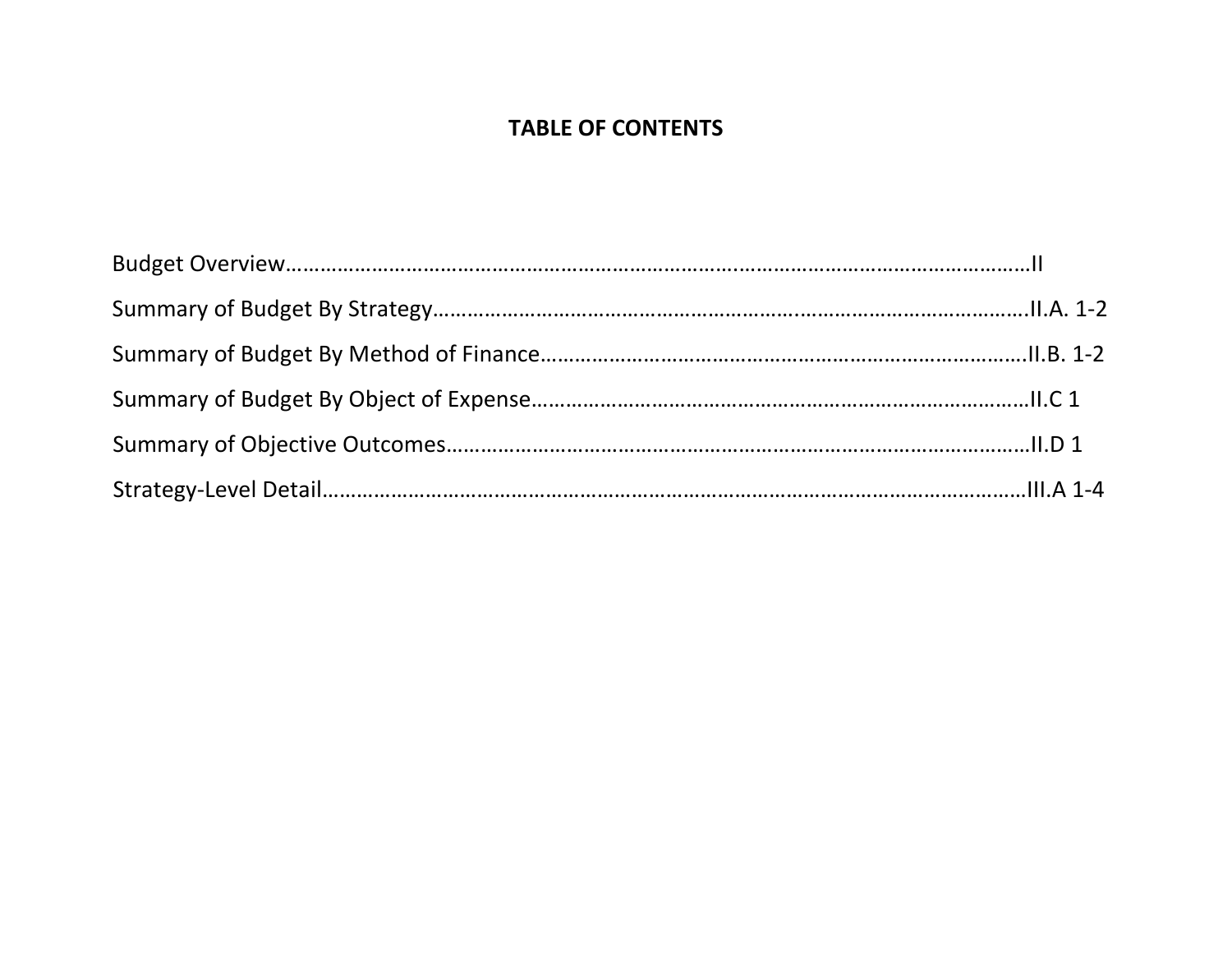## **TABLE OF CONTENTS**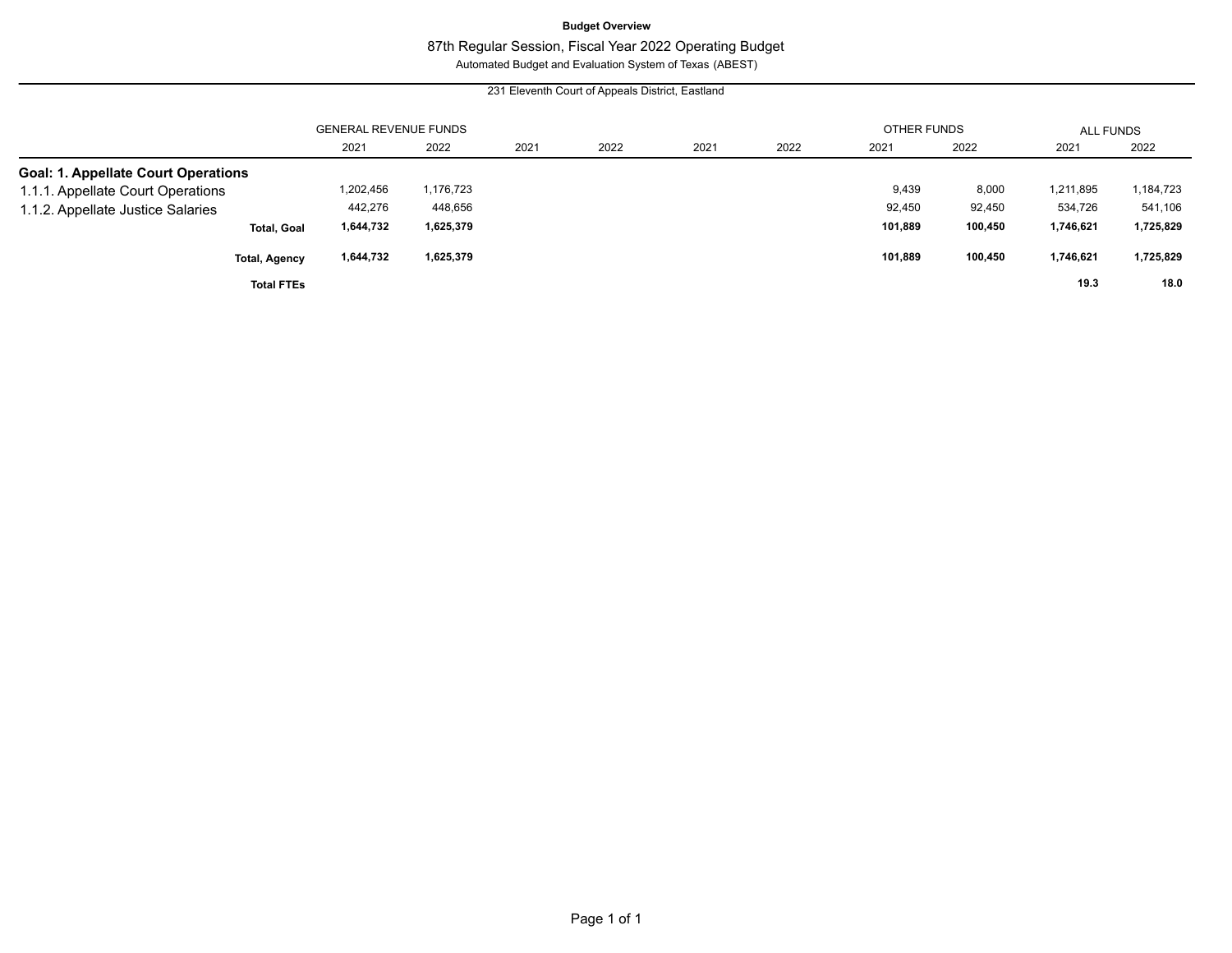#### **Budget Overview**

### 87th Regular Session, Fiscal Year 2022 Operating Budget

Automated Budget and Evaluation System of Texas (ABEST)

#### 231 Eleventh Court of Appeals District, Eastland

|                                            |           | <b>GENERAL REVENUE FUNDS</b> |      |      |      |      | OTHER FUNDS |         | ALL FUNDS |           |
|--------------------------------------------|-----------|------------------------------|------|------|------|------|-------------|---------|-----------|-----------|
|                                            | 2021      | 2022                         | 2021 | 2022 | 2021 | 2022 | 2021        | 2022    | 2021      | 2022      |
| <b>Goal: 1. Appellate Court Operations</b> |           |                              |      |      |      |      |             |         |           |           |
| 1.1.1. Appellate Court Operations          | 1,202,456 | 1,176,723                    |      |      |      |      | 9,439       | 8,000   | 1,211,895 | 1,184,723 |
| 1.1.2. Appellate Justice Salaries          | 442,276   | 448,656                      |      |      |      |      | 92,450      | 92,450  | 534,726   | 541,106   |
| <b>Total, Goal</b>                         | 1,644,732 | 1,625,379                    |      |      |      |      | 101,889     | 100,450 | 1,746,621 | 1,725,829 |
| <b>Total, Agency</b>                       | 1,644,732 | 1,625,379                    |      |      |      |      | 101,889     | 100,450 | 1,746,621 | 1,725,829 |
| <b>Total FTEs</b>                          |           |                              |      |      |      |      |             |         | 19.3      | 18.0      |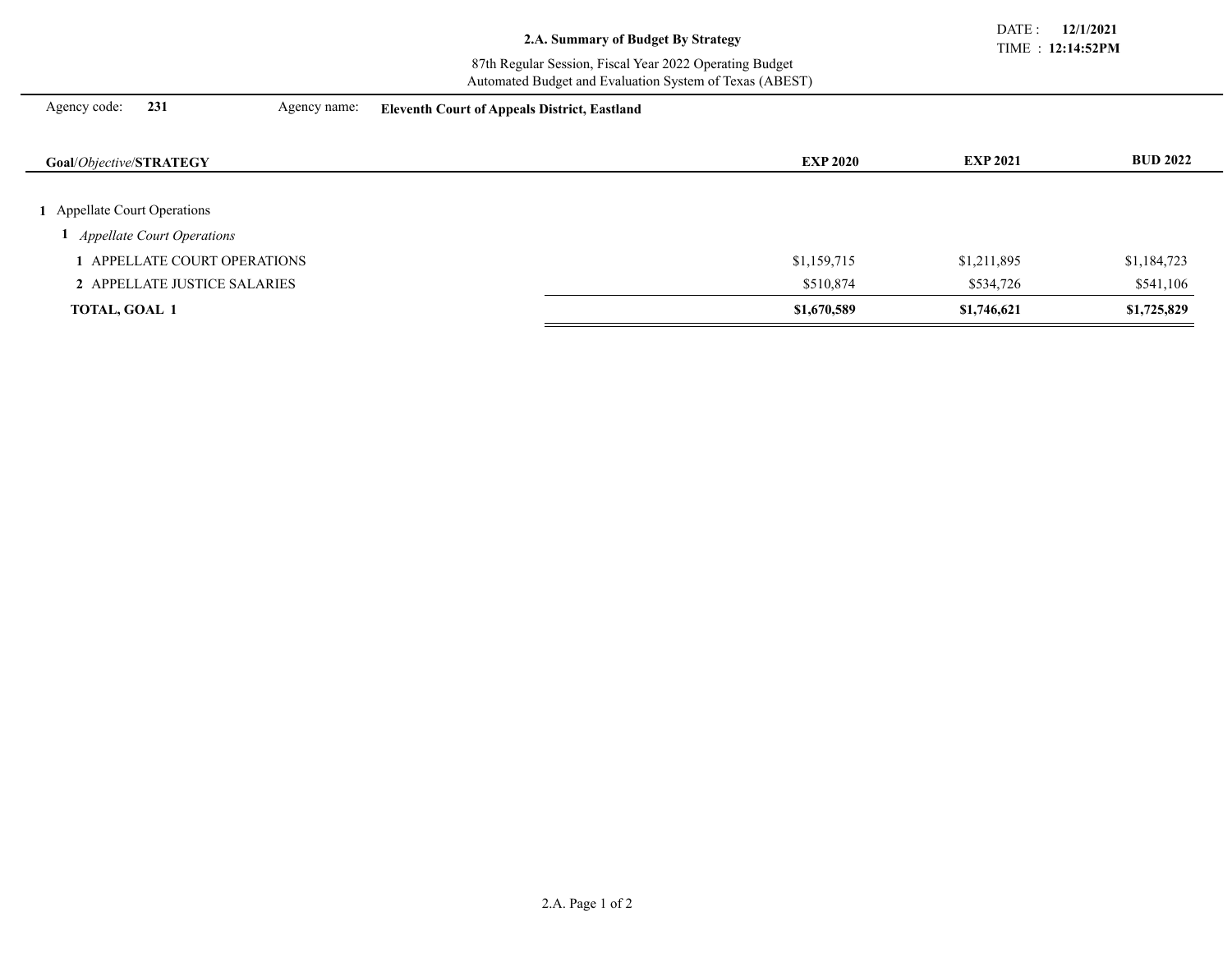TIME : **12:14:52PM** DATE : **12/1/2021**

#### 87th Regular Session, Fiscal Year 2022 Operating Budget Automated Budget and Evaluation System of Texas (ABEST)

Agency code: **231** Agency name: **Eleventh Court of Appeals District, Eastland**

| Goal/Objective/STRATEGY           | <b>EXP 2020</b> | <b>EXP 2021</b> | <b>BUD 2022</b> |
|-----------------------------------|-----------------|-----------------|-----------------|
|                                   |                 |                 |                 |
| Appellate Court Operations        |                 |                 |                 |
| <b>Appellate Court Operations</b> |                 |                 |                 |
| <b>APPELLATE COURT OPERATIONS</b> | \$1,159,715     | \$1,211,895     | \$1,184,723     |
| 2 APPELLATE JUSTICE SALARIES      | \$510,874       | \$534,726       | \$541,106       |
| TOTAL, GOAL 1                     | \$1,670,589     | \$1,746,621     | \$1,725,829     |
|                                   |                 |                 |                 |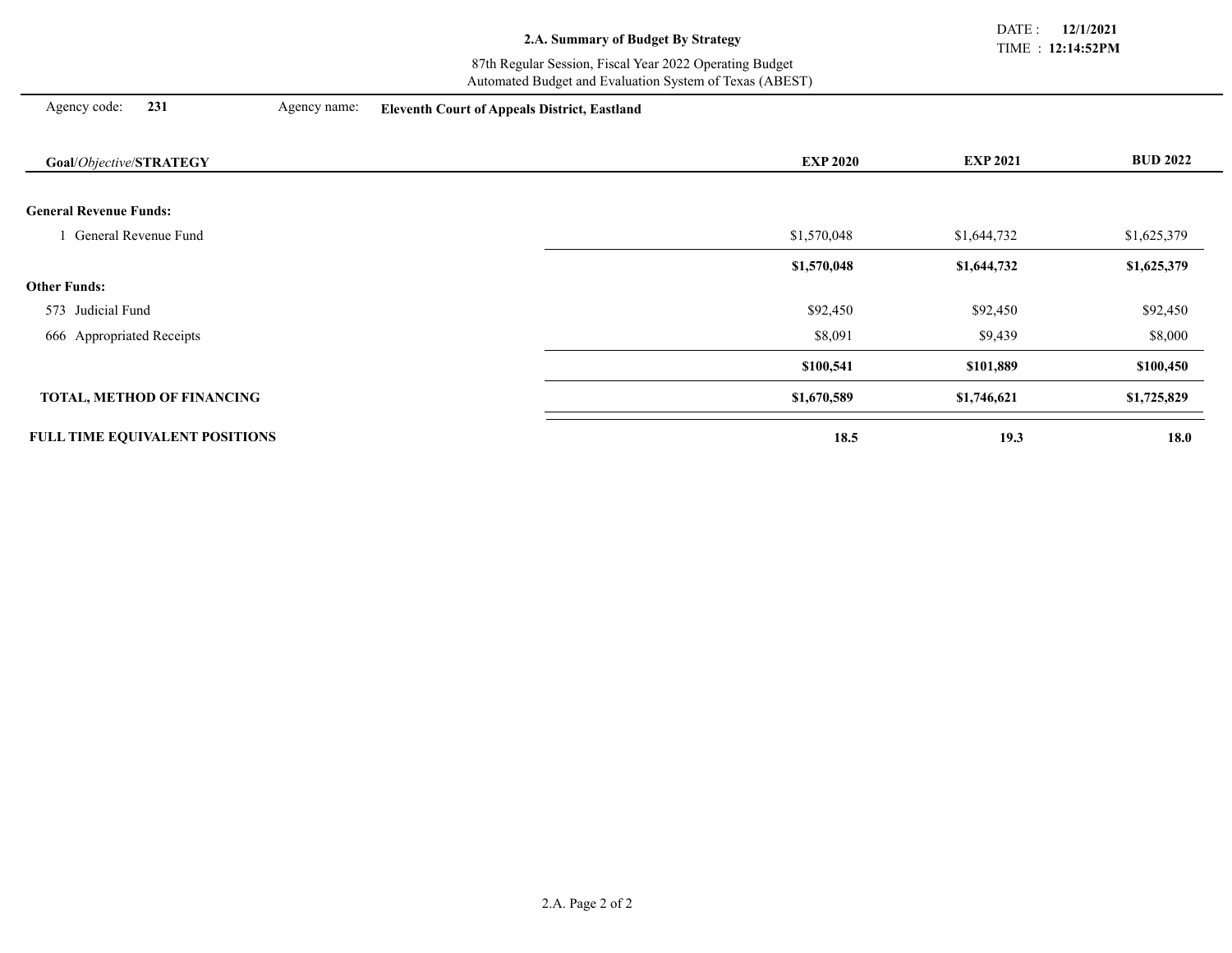TIME : **12:14:52PM** DATE : **12/1/2021**

#### 87th Regular Session, Fiscal Year 2022 Operating Budget Automated Budget and Evaluation System of Texas (ABEST)

Agency code: **231** Agency name: **Eleventh Court of Appeals District, Eastland**

| Goal/Objective/STRATEGY               | <b>EXP 2020</b> | <b>EXP 2021</b> | <b>BUD 2022</b> |
|---------------------------------------|-----------------|-----------------|-----------------|
|                                       |                 |                 |                 |
| <b>General Revenue Funds:</b>         |                 |                 |                 |
| General Revenue Fund                  | \$1,570,048     | \$1,644,732     | \$1,625,379     |
|                                       | \$1,570,048     | \$1,644,732     | \$1,625,379     |
| <b>Other Funds:</b>                   |                 |                 |                 |
| 573 Judicial Fund                     | \$92,450        | \$92,450        | \$92,450        |
| 666 Appropriated Receipts             | \$8,091         | \$9,439         | \$8,000         |
|                                       | \$100,541       | \$101,889       | \$100,450       |
| <b>TOTAL, METHOD OF FINANCING</b>     | \$1,670,589     | \$1,746,621     | \$1,725,829     |
| <b>FULL TIME EQUIVALENT POSITIONS</b> | 18.5            | 19.3            | 18.0            |
|                                       |                 |                 |                 |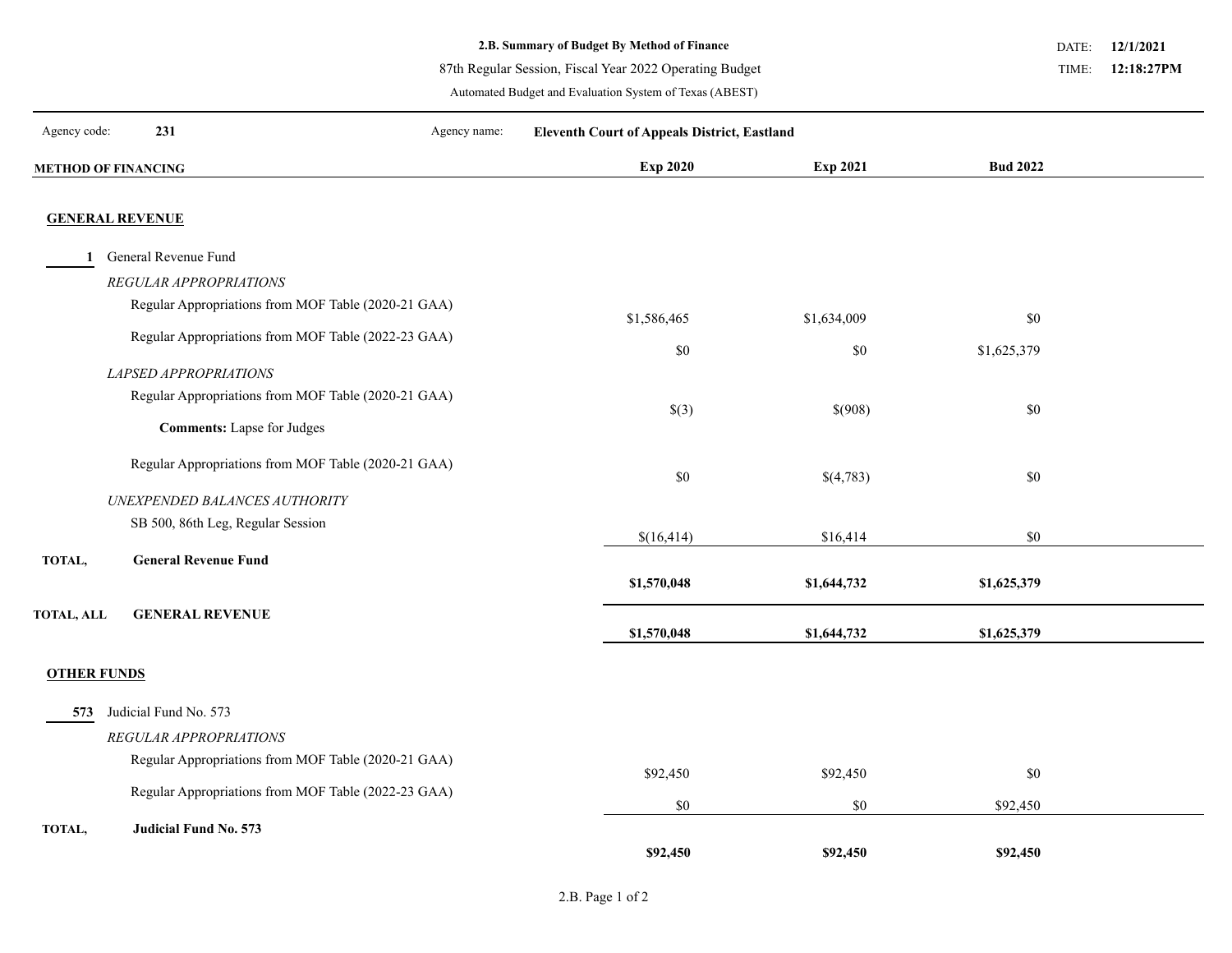87th Regular Session, Fiscal Year 2022 Operating Budget

Automated Budget and Evaluation System of Texas (ABEST)

**12/1/2021** DATE:

**12:18:27PM** TIME:

| Agency code:       | 231                               | Agency name:                                        | <b>Eleventh Court of Appeals District, Eastland</b> |             |                 |  |
|--------------------|-----------------------------------|-----------------------------------------------------|-----------------------------------------------------|-------------|-----------------|--|
|                    | <b>METHOD OF FINANCING</b>        |                                                     | Exp 2020                                            | Exp 2021    | <b>Bud 2022</b> |  |
|                    | <b>GENERAL REVENUE</b>            |                                                     |                                                     |             |                 |  |
| 1                  | General Revenue Fund              |                                                     |                                                     |             |                 |  |
|                    | REGULAR APPROPRIATIONS            |                                                     |                                                     |             |                 |  |
|                    |                                   | Regular Appropriations from MOF Table (2020-21 GAA) | \$1,586,465                                         | \$1,634,009 | \$0             |  |
|                    |                                   | Regular Appropriations from MOF Table (2022-23 GAA) | $\$0$                                               | \$0         | \$1,625,379     |  |
|                    | LAPSED APPROPRIATIONS             |                                                     |                                                     |             |                 |  |
|                    |                                   | Regular Appropriations from MOF Table (2020-21 GAA) | \$(3)                                               | \$(908)     | \$0             |  |
|                    | <b>Comments:</b> Lapse for Judges |                                                     |                                                     |             |                 |  |
|                    |                                   | Regular Appropriations from MOF Table (2020-21 GAA) | $\$0$                                               | \$(4,783)   | \$0             |  |
|                    | UNEXPENDED BALANCES AUTHORITY     |                                                     |                                                     |             |                 |  |
|                    | SB 500, 86th Leg, Regular Session |                                                     | \$(16,414)                                          | \$16,414    | \$0             |  |
| TOTAL,             | <b>General Revenue Fund</b>       |                                                     |                                                     |             |                 |  |
|                    |                                   |                                                     | \$1,570,048                                         | \$1,644,732 | \$1,625,379     |  |
| <b>TOTAL, ALL</b>  | <b>GENERAL REVENUE</b>            |                                                     | \$1,570,048                                         | \$1,644,732 | \$1,625,379     |  |
| <b>OTHER FUNDS</b> |                                   |                                                     |                                                     |             |                 |  |
| 573                | Judicial Fund No. 573             |                                                     |                                                     |             |                 |  |
|                    | REGULAR APPROPRIATIONS            |                                                     |                                                     |             |                 |  |
|                    |                                   | Regular Appropriations from MOF Table (2020-21 GAA) | \$92,450                                            | \$92,450    | \$0             |  |
|                    |                                   | Regular Appropriations from MOF Table (2022-23 GAA) | $\$0$                                               | \$0         | \$92,450        |  |
| TOTAL,             | Judicial Fund No. 573             |                                                     |                                                     |             |                 |  |
|                    |                                   |                                                     | \$92,450                                            | \$92,450    | \$92,450        |  |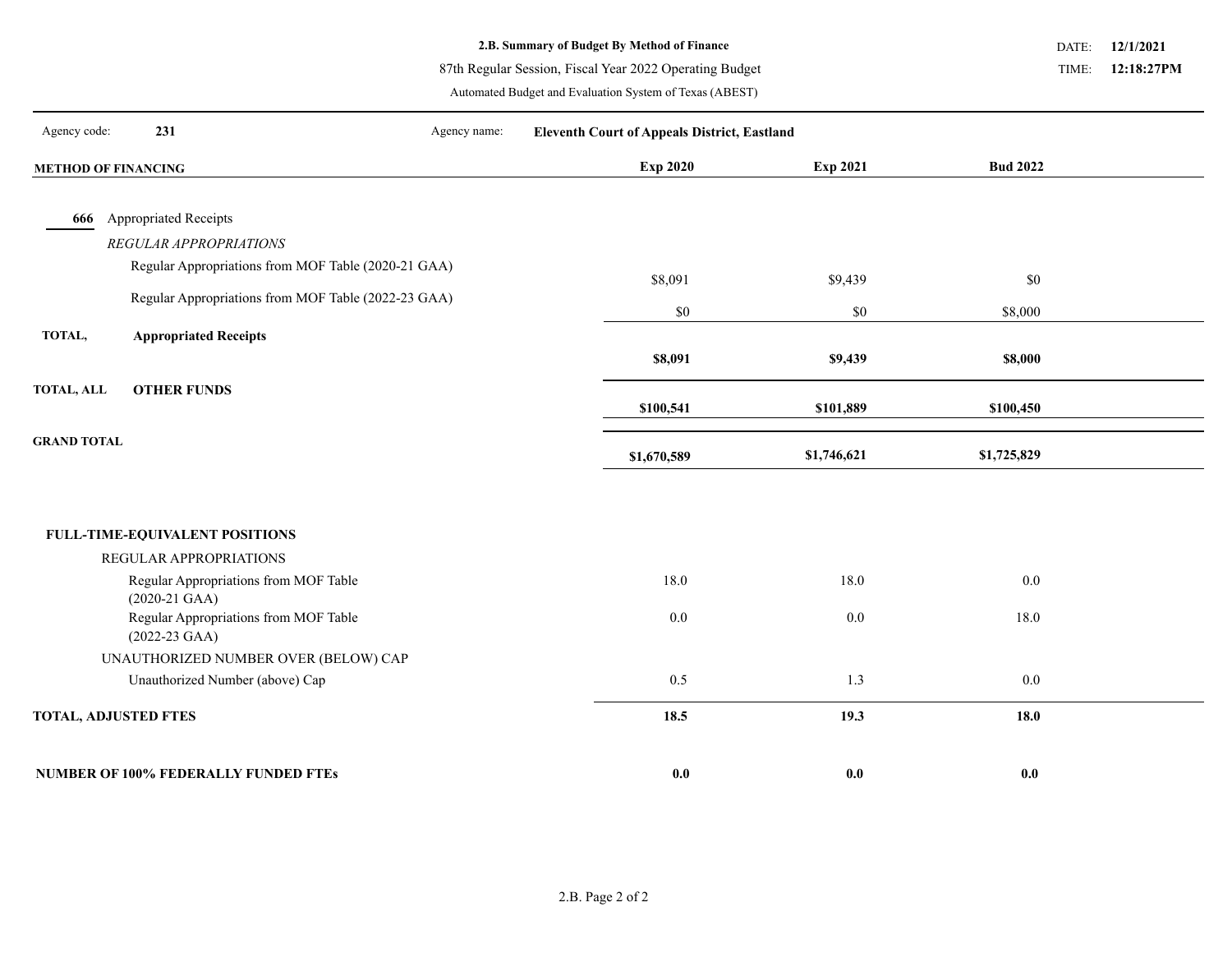87th Regular Session, Fiscal Year 2022 Operating Budget

Automated Budget and Evaluation System of Texas (ABEST)

**12/1/2021** DATE: **12:18:27PM** TIME:

| 231<br>Agency code:                                                                         | Agency name:<br><b>Eleventh Court of Appeals District, Eastland</b> |             |                 |  |
|---------------------------------------------------------------------------------------------|---------------------------------------------------------------------|-------------|-----------------|--|
| <b>METHOD OF FINANCING</b>                                                                  | <b>Exp 2020</b>                                                     | Exp 2021    | <b>Bud 2022</b> |  |
|                                                                                             |                                                                     |             |                 |  |
| <b>Appropriated Receipts</b><br>666                                                         |                                                                     |             |                 |  |
| REGULAR APPROPRIATIONS                                                                      |                                                                     |             |                 |  |
| Regular Appropriations from MOF Table (2020-21 GAA)                                         | \$8,091                                                             | \$9,439     | \$0             |  |
| Regular Appropriations from MOF Table (2022-23 GAA)                                         |                                                                     |             |                 |  |
|                                                                                             | \$0                                                                 | $\$0$       | \$8,000         |  |
| TOTAL,<br><b>Appropriated Receipts</b>                                                      |                                                                     |             |                 |  |
|                                                                                             | \$8,091                                                             | \$9,439     | \$8,000         |  |
| <b>OTHER FUNDS</b><br><b>TOTAL, ALL</b>                                                     |                                                                     |             |                 |  |
|                                                                                             | \$100,541                                                           | \$101,889   | \$100,450       |  |
| <b>GRAND TOTAL</b>                                                                          |                                                                     |             |                 |  |
|                                                                                             |                                                                     |             |                 |  |
|                                                                                             | \$1,670,589                                                         | \$1,746,621 | \$1,725,829     |  |
|                                                                                             |                                                                     |             |                 |  |
|                                                                                             |                                                                     |             |                 |  |
| <b>FULL-TIME-EQUIVALENT POSITIONS</b>                                                       |                                                                     |             |                 |  |
| REGULAR APPROPRIATIONS                                                                      |                                                                     |             |                 |  |
| Regular Appropriations from MOF Table                                                       | 18.0                                                                | 18.0        | 0.0             |  |
| $(2020-21 \text{ GAA})$<br>Regular Appropriations from MOF Table<br>$(2022-23 \text{ GAA})$ | $0.0\,$                                                             | 0.0         | 18.0            |  |
| UNAUTHORIZED NUMBER OVER (BELOW) CAP                                                        |                                                                     |             |                 |  |
| Unauthorized Number (above) Cap                                                             | 0.5                                                                 | 1.3         | 0.0             |  |
| <b>TOTAL, ADJUSTED FTES</b>                                                                 | 18.5                                                                | 19.3        | 18.0            |  |

**NUMBER OF 100% FEDERALLY FUNDED FTEs 0.0 0.0 0.0**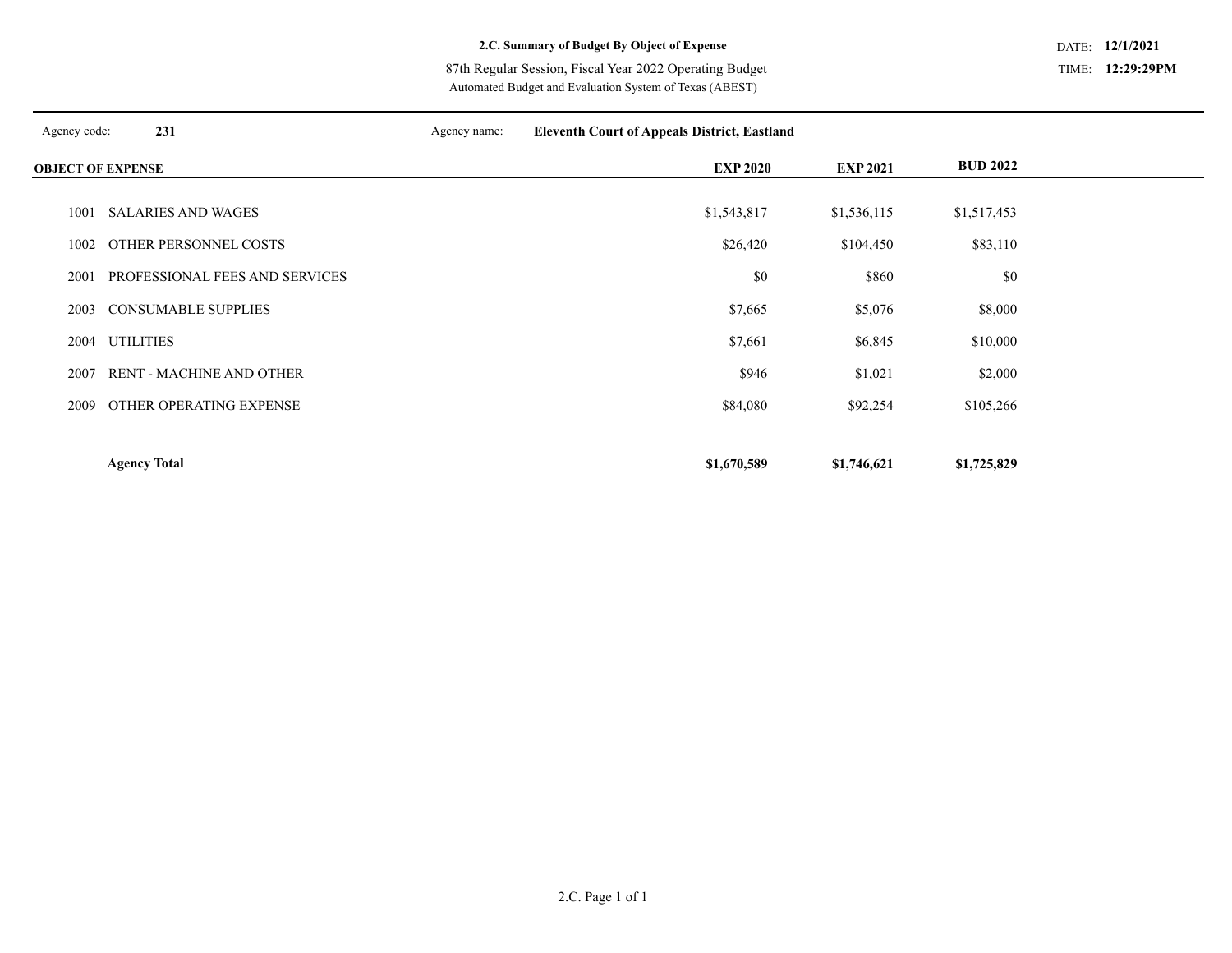**12:29:29PM** TIME:

Automated Budget and Evaluation System of Texas (ABEST) 87th Regular Session, Fiscal Year 2022 Operating Budget

| Agency code:             | 231                             | Agency name: | <b>Eleventh Court of Appeals District, Eastland</b> |                 |                 |  |
|--------------------------|---------------------------------|--------------|-----------------------------------------------------|-----------------|-----------------|--|
| <b>OBJECT OF EXPENSE</b> |                                 |              | <b>EXP 2020</b>                                     | <b>EXP 2021</b> | <b>BUD 2022</b> |  |
|                          |                                 |              |                                                     |                 |                 |  |
| 1001                     | <b>SALARIES AND WAGES</b>       |              | \$1,543,817                                         | \$1,536,115     | \$1,517,453     |  |
| 1002                     | OTHER PERSONNEL COSTS           |              | \$26,420                                            | \$104,450       | \$83,110        |  |
| 2001                     | PROFESSIONAL FEES AND SERVICES  |              | \$0                                                 | \$860           | \$0             |  |
| 2003                     | <b>CONSUMABLE SUPPLIES</b>      |              | \$7,665                                             | \$5,076         | \$8,000         |  |
| 2004                     | <b>UTILITIES</b>                |              | \$7,661                                             | \$6,845         | \$10,000        |  |
| 2007                     | <b>RENT - MACHINE AND OTHER</b> |              | \$946                                               | \$1,021         | \$2,000         |  |
| 2009                     | OTHER OPERATING EXPENSE         |              | \$84,080                                            | \$92,254        | \$105,266       |  |
|                          |                                 |              |                                                     |                 |                 |  |
|                          | <b>Agency Total</b>             |              | \$1,670,589                                         | \$1,746,621     | \$1,725,829     |  |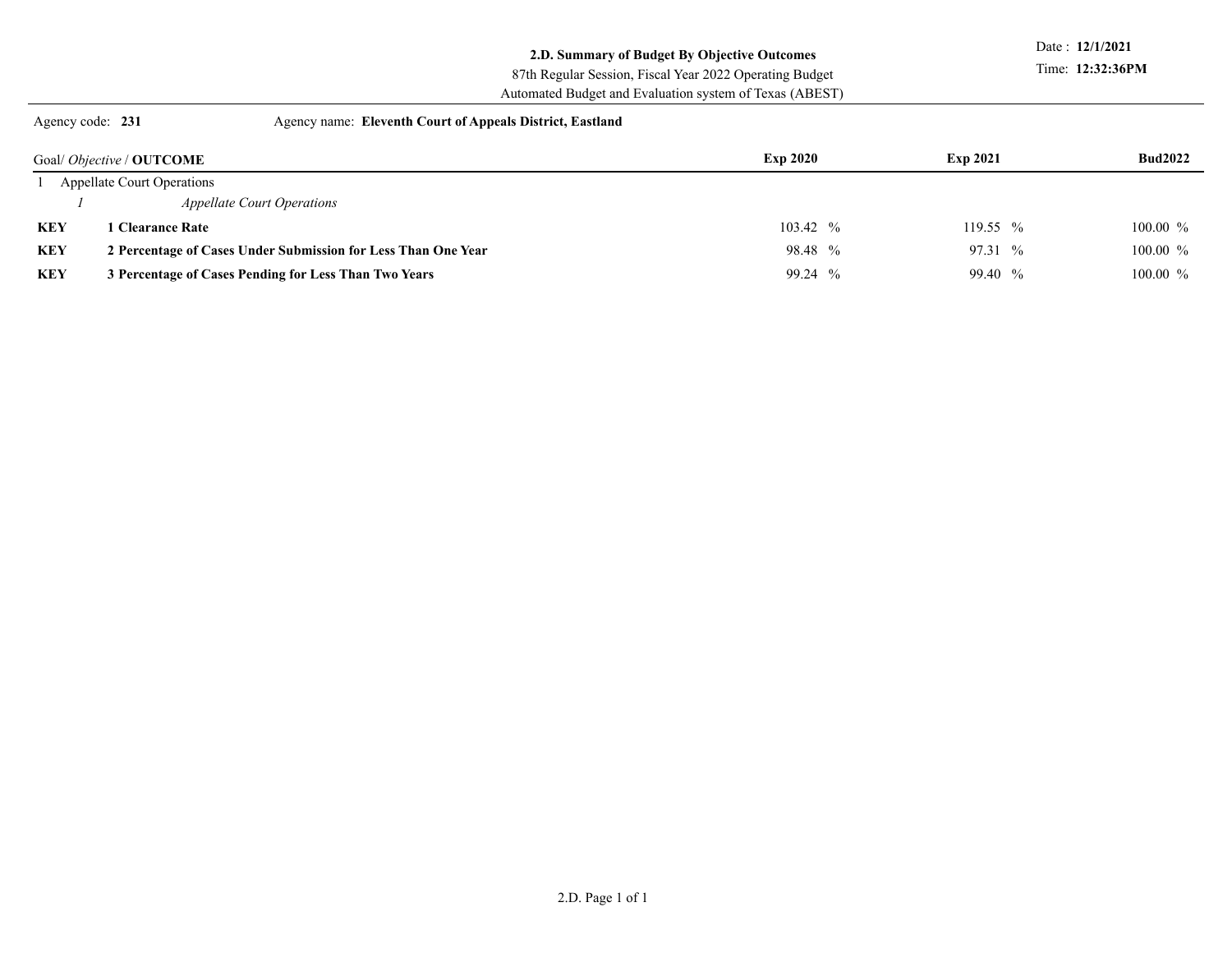#### **2.D. Summary of Budget By Objective Outcomes**

Date : **12/1/2021**

Time: **12:32:36PM**

Automated Budget and Evaluation system of Texas (ABEST) 87th Regular Session, Fiscal Year 2022 Operating Budget

Agency code: **231** Agency name: **Eleventh Court of Appeals District, Eastland** 

|            | Goal/ <i>Objective</i> / <b>OUTCOME</b>                       | <b>Exp 2020</b> | <b>Exp 2021</b> | <b>Bud2022</b> |
|------------|---------------------------------------------------------------|-----------------|-----------------|----------------|
|            | <b>Appellate Court Operations</b>                             |                 |                 |                |
|            | <i>Appellate Court Operations</i>                             |                 |                 |                |
| <b>KEY</b> | l Clearance Rate                                              | $103.42~\%$     | 119.55 %        | $100.00\%$     |
| KEY        | 2 Percentage of Cases Under Submission for Less Than One Year | 98.48 %         | $97.31~\%$      | $100.00\%$     |
| KEY        | 3 Percentage of Cases Pending for Less Than Two Years         | 99.24 %         | 99.40 %         | $100.00\%$     |
|            |                                                               |                 |                 |                |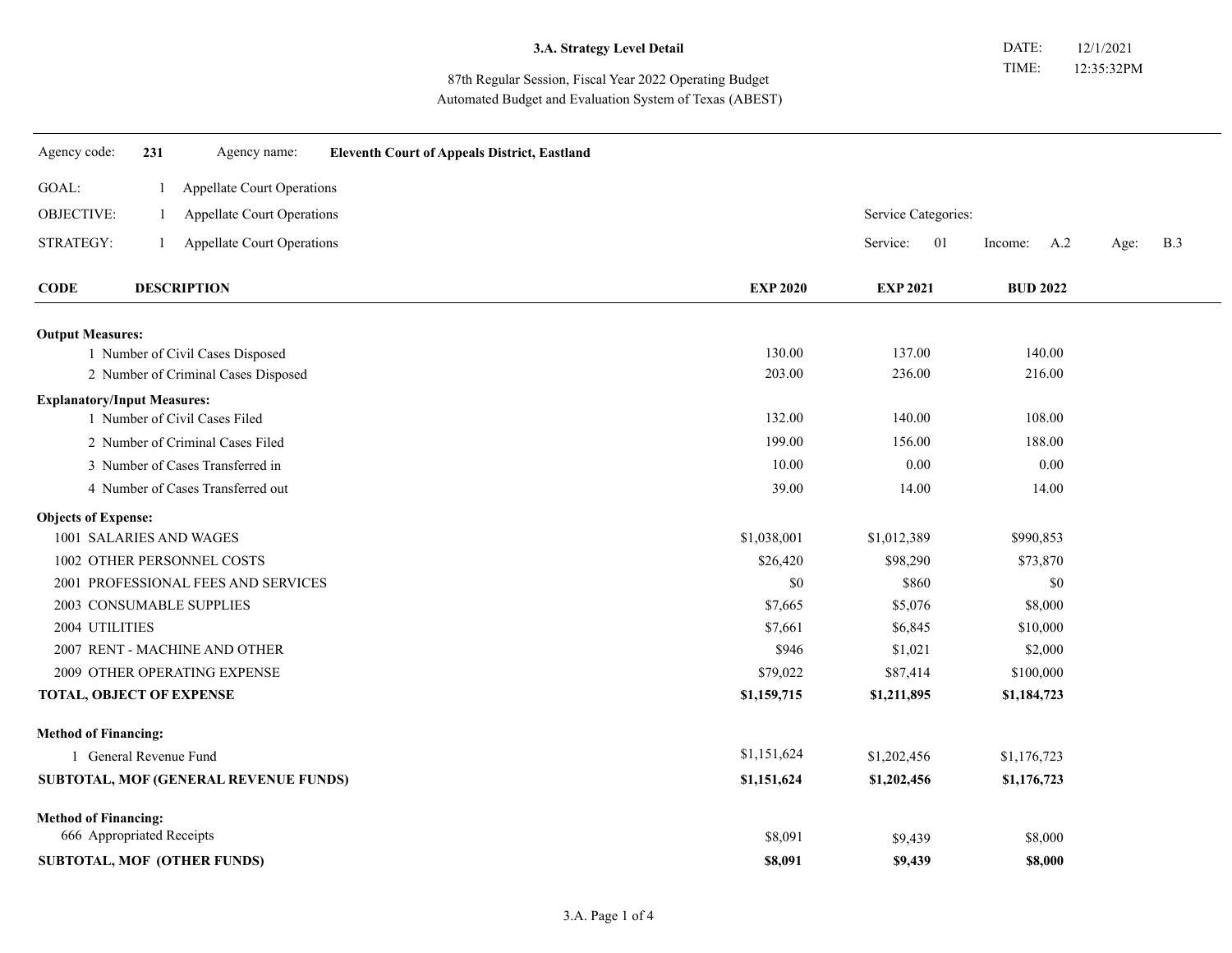87th Regular Session, Fiscal Year 2022 Operating Budget Automated Budget and Evaluation System of Texas (ABEST)

| Agency code:                       | 231                    | Agency name:                          | <b>Eleventh Court of Appeals District, Eastland</b> |                 |                     |                 |                    |
|------------------------------------|------------------------|---------------------------------------|-----------------------------------------------------|-----------------|---------------------|-----------------|--------------------|
| GOAL:                              |                        | Appellate Court Operations            |                                                     |                 |                     |                 |                    |
| OBJECTIVE:                         | $\perp$                | <b>Appellate Court Operations</b>     |                                                     |                 | Service Categories: |                 |                    |
| STRATEGY:                          |                        | Appellate Court Operations            |                                                     |                 | Service:<br>01      | A.2<br>Income:  | <b>B.3</b><br>Age: |
| <b>CODE</b>                        |                        | <b>DESCRIPTION</b>                    |                                                     | <b>EXP 2020</b> | <b>EXP 2021</b>     | <b>BUD 2022</b> |                    |
| <b>Output Measures:</b>            |                        |                                       |                                                     |                 |                     |                 |                    |
|                                    |                        | 1 Number of Civil Cases Disposed      |                                                     | 130.00          | 137.00              | 140.00          |                    |
|                                    |                        | 2 Number of Criminal Cases Disposed   |                                                     | 203.00          | 236.00              | 216.00          |                    |
| <b>Explanatory/Input Measures:</b> |                        |                                       |                                                     |                 |                     |                 |                    |
|                                    |                        | 1 Number of Civil Cases Filed         |                                                     | 132.00          | 140.00              | 108.00          |                    |
|                                    |                        | 2 Number of Criminal Cases Filed      |                                                     | 199.00          | 156.00              | 188.00          |                    |
|                                    |                        | 3 Number of Cases Transferred in      |                                                     | 10.00           | 0.00                | 0.00            |                    |
|                                    |                        | 4 Number of Cases Transferred out     |                                                     | 39.00           | 14.00               | 14.00           |                    |
| <b>Objects of Expense:</b>         |                        |                                       |                                                     |                 |                     |                 |                    |
| 1001 SALARIES AND WAGES            |                        |                                       |                                                     | \$1,038,001     | \$1,012,389         | \$990,853       |                    |
|                                    |                        | 1002 OTHER PERSONNEL COSTS            |                                                     | \$26,420        | \$98,290            | \$73,870        |                    |
|                                    |                        | 2001 PROFESSIONAL FEES AND SERVICES   |                                                     | \$0             | \$860               | \$0             |                    |
|                                    |                        | 2003 CONSUMABLE SUPPLIES              |                                                     | \$7,665         | \$5,076             | \$8,000         |                    |
| 2004 UTILITIES                     |                        |                                       |                                                     | \$7,661         | \$6,845             | \$10,000        |                    |
|                                    |                        | 2007 RENT - MACHINE AND OTHER         |                                                     | \$946           | \$1,021             | \$2,000         |                    |
|                                    |                        | 2009 OTHER OPERATING EXPENSE          |                                                     | \$79,022        | \$87,414            | \$100,000       |                    |
| TOTAL, OBJECT OF EXPENSE           |                        |                                       |                                                     | \$1,159,715     | \$1,211,895         | \$1,184,723     |                    |
| <b>Method of Financing:</b>        |                        |                                       |                                                     |                 |                     |                 |                    |
|                                    | 1 General Revenue Fund |                                       |                                                     | \$1,151,624     | \$1,202,456         | \$1,176,723     |                    |
|                                    |                        | SUBTOTAL, MOF (GENERAL REVENUE FUNDS) |                                                     | \$1,151,624     | \$1,202,456         | \$1,176,723     |                    |
| <b>Method of Financing:</b>        |                        |                                       |                                                     |                 |                     |                 |                    |
| 666 Appropriated Receipts          |                        |                                       |                                                     | \$8,091         | \$9,439             | \$8,000         |                    |
|                                    |                        | SUBTOTAL, MOF (OTHER FUNDS)           |                                                     | \$8,091         | \$9,439             | \$8,000         |                    |
|                                    |                        |                                       |                                                     |                 |                     |                 |                    |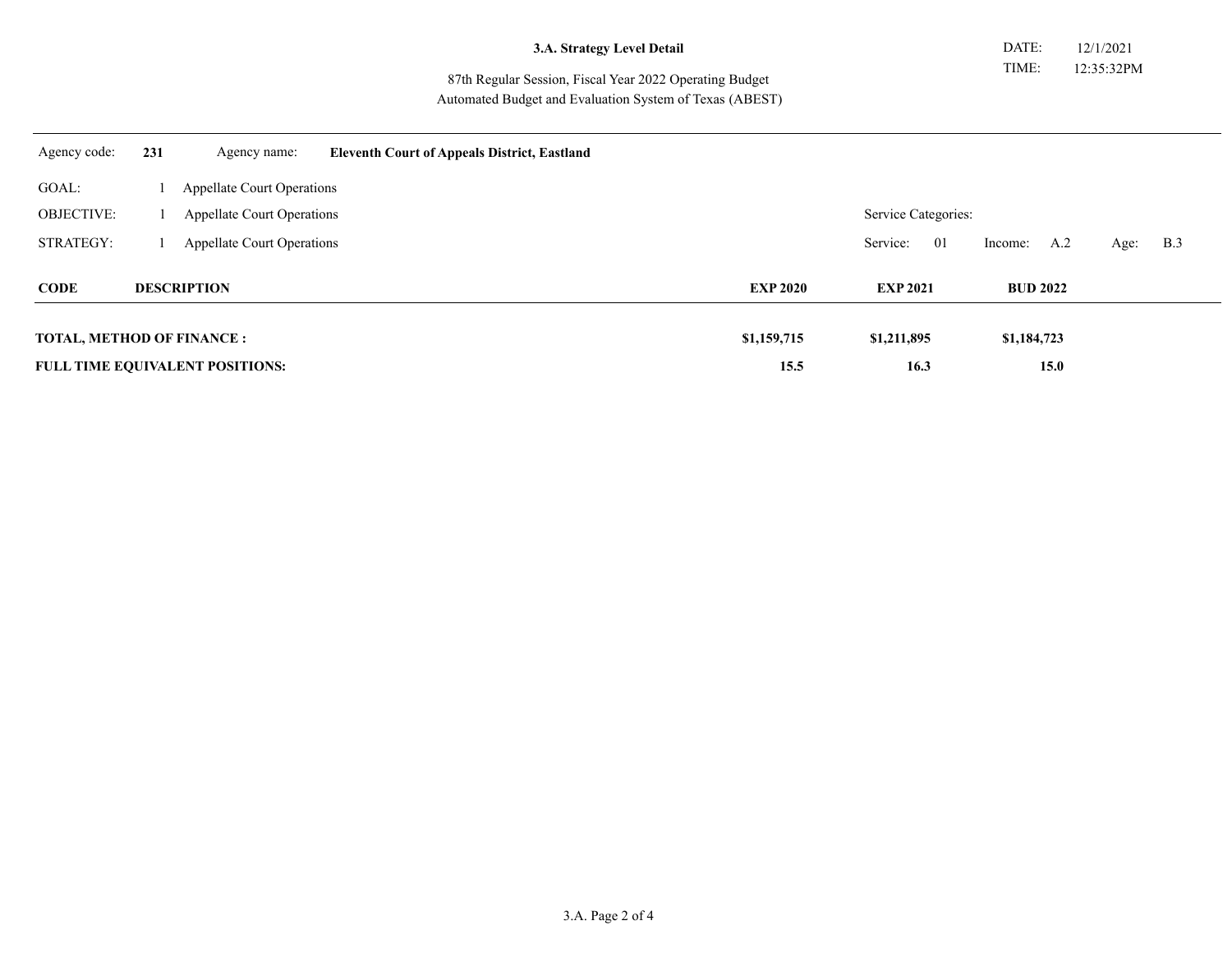|  |  | 3.A. Strategy Level Detail |  |  |  |
|--|--|----------------------------|--|--|--|
|--|--|----------------------------|--|--|--|

87th Regular Session, Fiscal Year 2022 Operating Budget Automated Budget and Evaluation System of Texas (ABEST)

| Agency code:                      | 231                | Agency name:                           | <b>Eleventh Court of Appeals District, Eastland</b> |                 |                     |                |                    |
|-----------------------------------|--------------------|----------------------------------------|-----------------------------------------------------|-----------------|---------------------|----------------|--------------------|
| GOAL:                             |                    | <b>Appellate Court Operations</b>      |                                                     |                 |                     |                |                    |
| <b>OBJECTIVE:</b>                 |                    | <b>Appellate Court Operations</b>      |                                                     |                 | Service Categories: |                |                    |
| STRATEGY:                         |                    | <b>Appellate Court Operations</b>      |                                                     |                 | Service:<br>01      | A.2<br>Income: | <b>B.3</b><br>Age: |
| <b>CODE</b>                       | <b>DESCRIPTION</b> |                                        | <b>EXP 2020</b>                                     | <b>EXP 2021</b> | <b>BUD 2022</b>     |                |                    |
| <b>TOTAL, METHOD OF FINANCE :</b> |                    |                                        |                                                     | \$1,159,715     | \$1,211,895         | \$1,184,723    |                    |
|                                   |                    | <b>FULL TIME EQUIVALENT POSITIONS:</b> |                                                     | 15.5            | 16.3                | 15.0           |                    |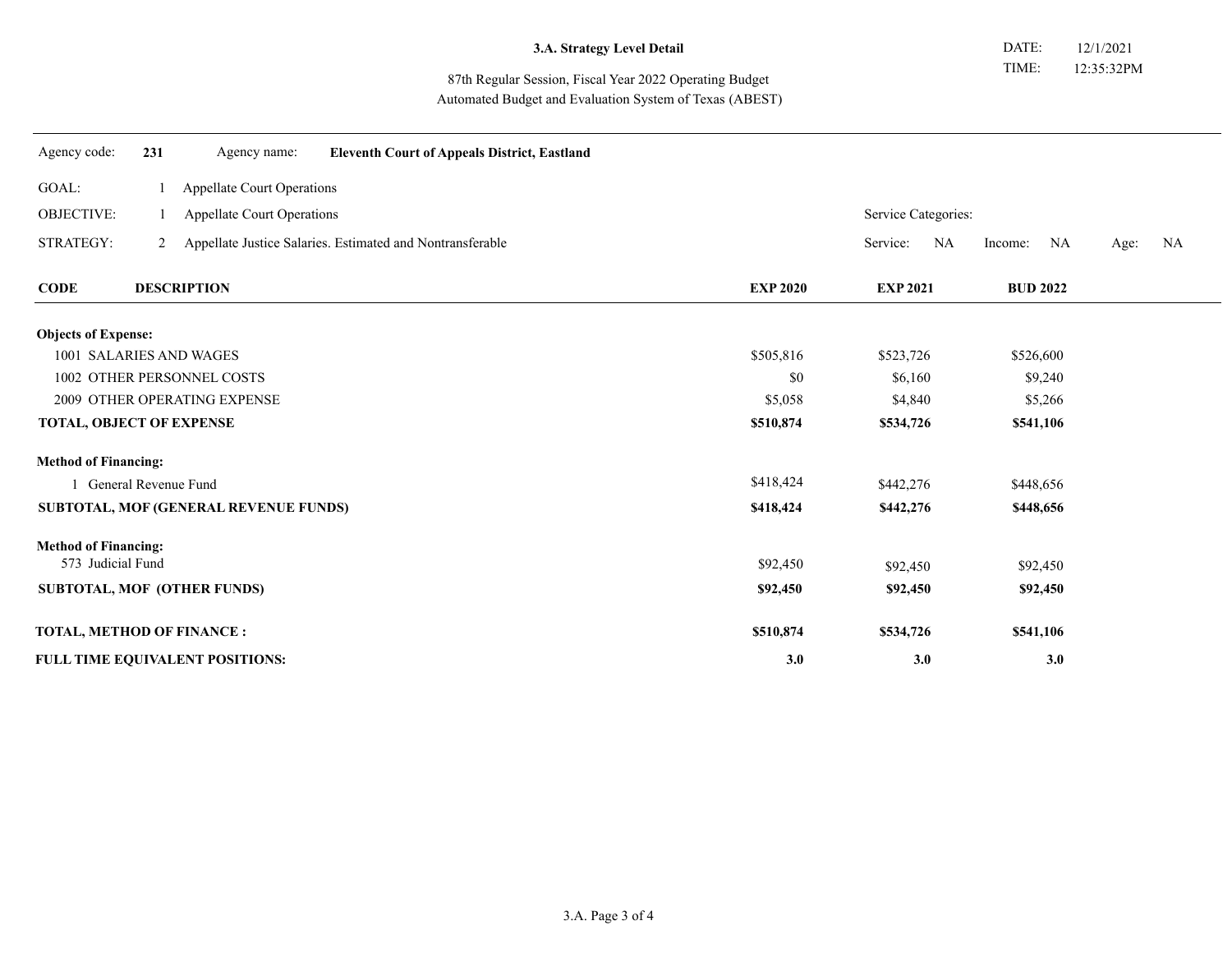#### 87th Regular Session, Fiscal Year 2022 Operating Budget Automated Budget and Evaluation System of Texas (ABEST)

| Agency code:                                 | 231 | Agency name:                 | <b>Eleventh Court of Appeals District, Eastland</b>         |                 |                     |                     |                   |
|----------------------------------------------|-----|------------------------------|-------------------------------------------------------------|-----------------|---------------------|---------------------|-------------------|
| GOAL:                                        |     | Appellate Court Operations   |                                                             |                 |                     |                     |                   |
| <b>OBJECTIVE:</b>                            |     | Appellate Court Operations   |                                                             |                 | Service Categories: |                     |                   |
| STRATEGY:                                    |     |                              | 2 Appellate Justice Salaries. Estimated and Nontransferable |                 | Service:            | NA<br>NA<br>Income: | Age:<br><b>NA</b> |
| <b>CODE</b>                                  |     | <b>DESCRIPTION</b>           |                                                             | <b>EXP 2020</b> | <b>EXP 2021</b>     | <b>BUD 2022</b>     |                   |
| <b>Objects of Expense:</b>                   |     |                              |                                                             |                 |                     |                     |                   |
| 1001 SALARIES AND WAGES                      |     |                              | \$505,816                                                   | \$523,726       | \$526,600           |                     |                   |
| 1002 OTHER PERSONNEL COSTS                   |     |                              | \$0                                                         | \$6,160         | \$9,240             |                     |                   |
|                                              |     | 2009 OTHER OPERATING EXPENSE |                                                             | \$5,058         | \$4,840             | \$5,266             |                   |
| <b>TOTAL, OBJECT OF EXPENSE</b>              |     |                              |                                                             | \$510,874       | \$534,726           | \$541,106           |                   |
| <b>Method of Financing:</b>                  |     |                              |                                                             |                 |                     |                     |                   |
| General Revenue Fund                         |     |                              | \$418,424                                                   | \$442,276       | \$448,656           |                     |                   |
| <b>SUBTOTAL, MOF (GENERAL REVENUE FUNDS)</b> |     |                              |                                                             | \$418,424       | \$442,276           | \$448,656           |                   |
| <b>Method of Financing:</b>                  |     |                              |                                                             |                 |                     |                     |                   |
| 573 Judicial Fund                            |     |                              |                                                             | \$92,450        | \$92,450            | \$92,450            |                   |
| <b>SUBTOTAL, MOF (OTHER FUNDS)</b>           |     |                              |                                                             | \$92,450        | \$92,450            | \$92,450            |                   |
| <b>TOTAL, METHOD OF FINANCE:</b>             |     |                              |                                                             | \$510,874       | \$534,726           | \$541,106           |                   |
| FULL TIME EQUIVALENT POSITIONS:              |     |                              | 3.0                                                         | 3.0             | 3.0                 |                     |                   |